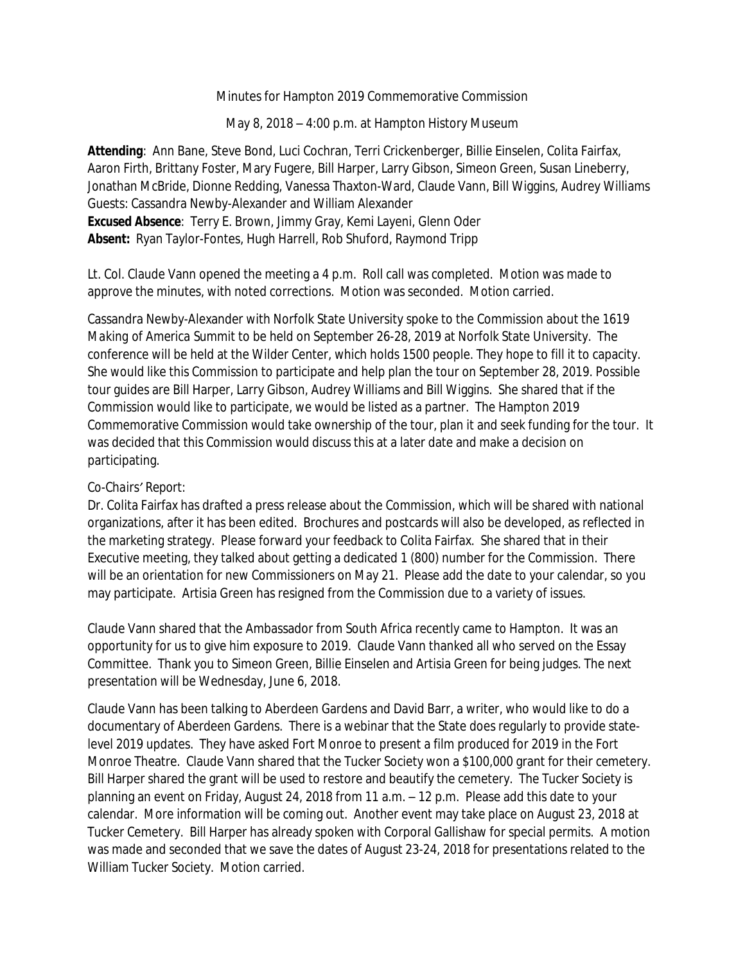Minutes for Hampton 2019 Commemorative Commission

May 8, 2018 – 4:00 p.m. at Hampton History Museum

*Attending:* Ann Bane, Steve Bond, Luci Cochran, Terri Crickenberger, Billie Einselen, Colita Fairfax, Aaron Firth, Brittany Foster, Mary Fugere, Bill Harper, Larry Gibson, Simeon Green, Susan Lineberry, Jonathan McBride, Dionne Redding, Vanessa Thaxton-Ward, Claude Vann, Bill Wiggins, Audrey Williams Guests: Cassandra Newby-Alexander and William Alexander *Excused Absence:* Terry E. Brown, Jimmy Gray, Kemi Layeni, Glenn Oder *Absent:* Ryan Taylor-Fontes, Hugh Harrell, Rob Shuford, Raymond Tripp

Lt. Col. Claude Vann opened the meeting a 4 p.m. Roll call was completed. Motion was made to approve the minutes, with noted corrections. Motion was seconded. Motion carried.

Cassandra Newby-Alexander with Norfolk State University spoke to the Commission about the *1619 Making of America Summit* to be held on September 26-28, 2019 at Norfolk State University. The conference will be held at the Wilder Center, which holds 1500 people. They hope to fill it to capacity. She would like this Commission to participate and help plan the tour on September 28, 2019. Possible tour guides are Bill Harper, Larry Gibson, Audrey Williams and Bill Wiggins. She shared that if the Commission would like to participate, we would be listed as a partner. The Hampton 2019 Commemorative Commission would take ownership of the tour, plan it and seek funding for the tour. It was decided that this Commission would discuss this at a later date and make a decision on participating.

### *Co-Chairs' Report:*

Dr. Colita Fairfax has drafted a press release about the Commission, which will be shared with national organizations, after it has been edited. Brochures and postcards will also be developed, as reflected in the marketing strategy. Please forward your feedback to Colita Fairfax. She shared that in their Executive meeting, they talked about getting a dedicated 1 (800) number for the Commission. There will be an orientation for new Commissioners on May 21. Please add the date to your calendar, so you may participate. Artisia Green has resigned from the Commission due to a variety of issues.

Claude Vann shared that the Ambassador from South Africa recently came to Hampton. It was an opportunity for us to give him exposure to 2019. Claude Vann thanked all who served on the Essay Committee. Thank you to Simeon Green, Billie Einselen and Artisia Green for being judges. The next presentation will be Wednesday, June 6, 2018.

Claude Vann has been talking to Aberdeen Gardens and David Barr, a writer, who would like to do a documentary of Aberdeen Gardens. There is a webinar that the State does regularly to provide statelevel 2019 updates. They have asked Fort Monroe to present a film produced for 2019 in the Fort Monroe Theatre. Claude Vann shared that the Tucker Society won a \$100,000 grant for their cemetery. Bill Harper shared the grant will be used to restore and beautify the cemetery. The Tucker Society is planning an event on Friday, August 24, 2018 from 11 a.m. – 12 p.m. Please add this date to your calendar. More information will be coming out. Another event may take place on August 23, 2018 at Tucker Cemetery. Bill Harper has already spoken with Corporal Gallishaw for special permits. A motion was made and seconded that we save the dates of August 23-24, 2018 for presentations related to the William Tucker Society. Motion carried.